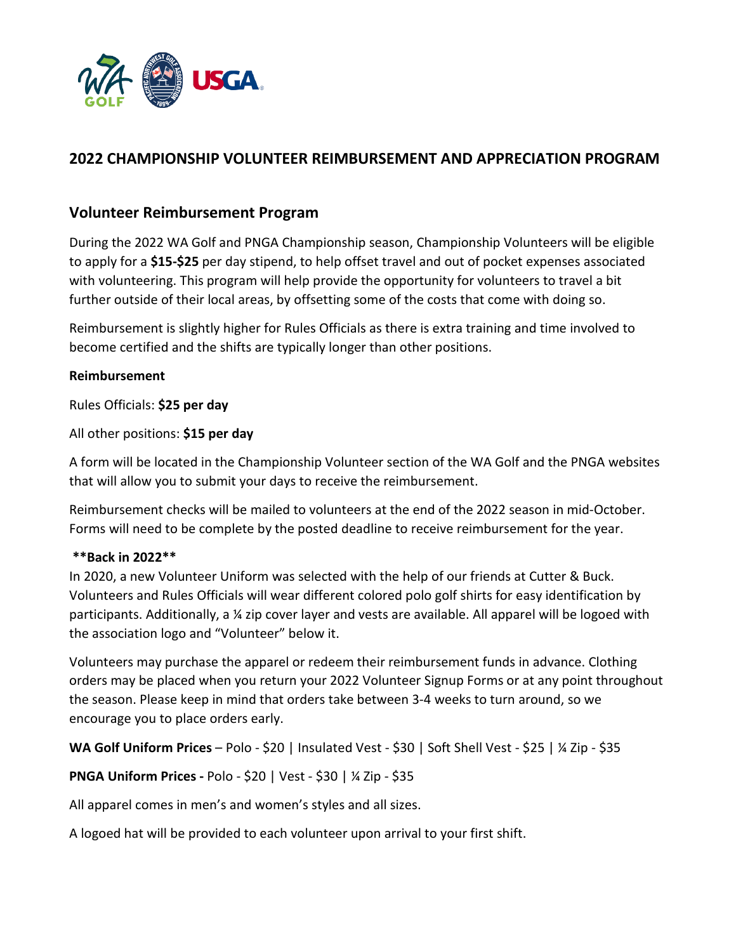

# **2022 CHAMPIONSHIP VOLUNTEER REIMBURSEMENT AND APPRECIATION PROGRAM**

### **Volunteer Reimbursement Program**

During the 2022 WA Golf and PNGA Championship season, Championship Volunteers will be eligible to apply for a **\$15-\$25** per day stipend, to help offset travel and out of pocket expenses associated with volunteering. This program will help provide the opportunity for volunteers to travel a bit further outside of their local areas, by offsetting some of the costs that come with doing so.

Reimbursement is slightly higher for Rules Officials as there is extra training and time involved to become certified and the shifts are typically longer than other positions.

### **Reimbursement**

Rules Officials: **\$25 per day**

All other positions: **\$15 per day**

A form will be located in the Championship Volunteer section of the WA Golf and the PNGA websites that will allow you to submit your days to receive the reimbursement.

Reimbursement checks will be mailed to volunteers at the end of the 2022 season in mid-October. Forms will need to be complete by the posted deadline to receive reimbursement for the year.

#### **\*\*Back in 2022\*\***

In 2020, a new Volunteer Uniform was selected with the help of our friends at Cutter & Buck. Volunteers and Rules Officials will wear different colored polo golf shirts for easy identification by participants. Additionally, a ¼ zip cover layer and vests are available. All apparel will be logoed with the association logo and "Volunteer" below it.

Volunteers may purchase the apparel or redeem their reimbursement funds in advance. Clothing orders may be placed when you return your 2022 Volunteer Signup Forms or at any point throughout the season. Please keep in mind that orders take between 3-4 weeks to turn around, so we encourage you to place orders early.

**WA Golf Uniform Prices** – Polo - \$20 | Insulated Vest - \$30 | Soft Shell Vest - \$25 | ¼ Zip - \$35

**PNGA Uniform Prices -** Polo - \$20 | Vest - \$30 | ¼ Zip - \$35

All apparel comes in men's and women's styles and all sizes.

A logoed hat will be provided to each volunteer upon arrival to your first shift.